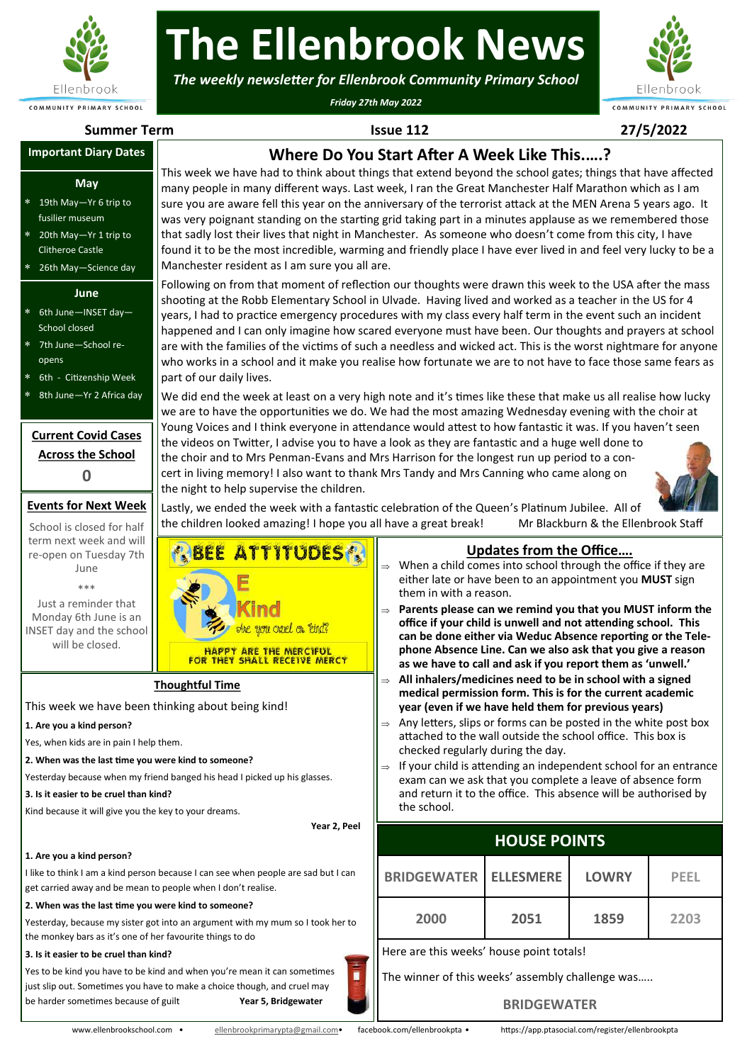

# **The Ellenbrook News**

*The weekly newsletter for Ellenbrook Community Primary School*

*Friday 27th May 2022*



**Summer Term Issue 112 27/5/2022**

## **Important Diary Dates**

#### **May**

- 19th May—Yr 6 trip to fusilier museum
- 20th May—Yr 1 trip to Clitheroe Castle
- 26th May—Science day

#### **June**

- 6th June—INSET day— School closed
- 7th June—School reopens
- 6th Citizenship Week
- 8th June—Yr 2 Africa day

#### **Current Covid Cases Across the School 0**

#### **Events for Next Week**

School is closed for half term next week and will re-open on Tuesday 7th June \*\*\*

Just a reminder that Monday 6th June is an INSET day and the school will be closed.

**Where Do You Start After A Week Like This.….?** This week we have had to think about things that extend beyond the school gates; things that have affected many people in many different ways. Last week, I ran the Great Manchester Half Marathon which as I am sure you are aware fell this year on the anniversary of the terrorist attack at the MEN Arena 5 years ago. It was very poignant standing on the starting grid taking part in a minutes applause as we remembered those that sadly lost their lives that night in Manchester. As someone who doesn't come from this city, I have found it to be the most incredible, warming and friendly place I have ever lived in and feel very lucky to be a Manchester resident as I am sure you all are.

Following on from that moment of reflection our thoughts were drawn this week to the USA after the mass shooting at the Robb Elementary School in Ulvade. Having lived and worked as a teacher in the US for 4 years, I had to practice emergency procedures with my class every half term in the event such an incident happened and I can only imagine how scared everyone must have been. Our thoughts and prayers at school are with the families of the victims of such a needless and wicked act. This is the worst nightmare for anyone who works in a school and it make you realise how fortunate we are to not have to face those same fears as part of our daily lives.

We did end the week at least on a very high note and it's times like these that make us all realise how lucky we are to have the opportunities we do. We had the most amazing Wednesday evening with the choir at Young Voices and I think everyone in attendance would attest to how fantastic it was. If you haven't seen the videos on Twitter, I advise you to have a look as they are fantastic and a huge well done to the choir and to Mrs Penman-Evans and Mrs Harrison for the longest run up period to a concert in living memory! I also want to thank Mrs Tandy and Mrs Canning who came along on the night to help supervise the children.



Lastly, we ended the week with a fantastic celebration of the Queen's Platinum Jubilee. All of the children looked amazing! I hope you all have a great break! Mr Blackburn & the Ellenbrook Staff



**Thoughtful Time**

This week we have been thinking about being kind!

#### **1. Are you a kind person?**

Yes, when kids are in pain I help them.

**2. When was the last time you were kind to someone?**

Yesterday because when my friend banged his head I picked up his glasses.

#### **3. Is it easier to be cruel than kind?**

Kind because it will give you the key to your dreams.

**Year 2, Peel**

#### **1. Are you a kind person?**

I like to think I am a kind person because I can see when people are sad but I can get carried away and be mean to people when I don't realise.

**2. When was the last time you were kind to someone?**

Yesterday, because my sister got into an argument with my mum so I took her to the monkey bars as it's one of her favourite things to do

#### **3. Is it easier to be cruel than kind?**

Yes to be kind you have to be kind and when you're mean it can sometimes just slip out. Sometimes you have to make a choice though, and cruel may be harder sometimes because of guilt **Year 5, Bridgewater**

**Updates from the Office….**

- When a child comes into school through the office if they are either late or have been to an appointment you **MUST** sign them in with a reason.
- **Parents please can we remind you that you MUST inform the office if your child is unwell and not attending school. This can be done either via Weduc Absence reporting or the Telephone Absence Line. Can we also ask that you give a reason as we have to call and ask if you report them as 'unwell.'**
- **All inhalers/medicines need to be in school with a signed medical permission form. This is for the current academic year (even if we have held them for previous years)**
- Any letters, slips or forms can be posted in the white post box attached to the wall outside the school office. This box is checked regularly during the day.
- $\Rightarrow$  If your child is attending an independent school for an entrance exam can we ask that you complete a leave of absence form and return it to the office. This absence will be authorised by the school.

### **HOUSE POINTS**

| <b>BRIDGEWATER</b>                               | <b>ELLESMERE</b> | <b>LOWRY</b> | PFFL |  |  |
|--------------------------------------------------|------------------|--------------|------|--|--|
| 2000                                             | 2051             | 1859         | 2203 |  |  |
| Here are this weeks' house point totals!         |                  |              |      |  |  |
| The winner of this weeks' assembly challenge was |                  |              |      |  |  |
| <b>BRIDGEWATER</b>                               |                  |              |      |  |  |

#### **BRIDGEWATER**